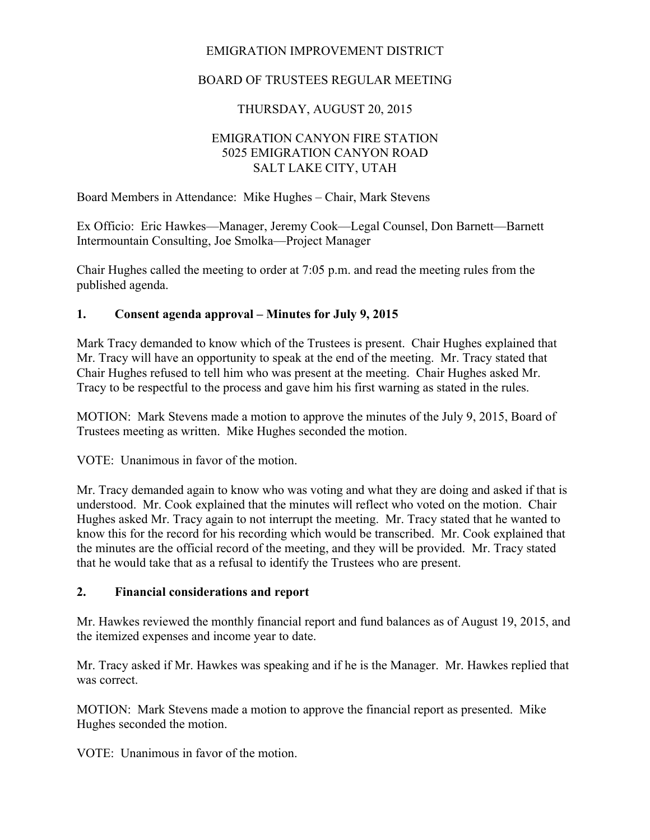## EMIGRATION IMPROVEMENT DISTRICT

# BOARD OF TRUSTEES REGULAR MEETING

# THURSDAY, AUGUST 20, 2015

#### EMIGRATION CANYON FIRE STATION 5025 EMIGRATION CANYON ROAD SALT LAKE CITY, UTAH

Board Members in Attendance: Mike Hughes – Chair, Mark Stevens

Ex Officio: Eric Hawkes—Manager, Jeremy Cook—Legal Counsel, Don Barnett—Barnett Intermountain Consulting, Joe Smolka—Project Manager

Chair Hughes called the meeting to order at 7:05 p.m. and read the meeting rules from the published agenda.

## **1. Consent agenda approval – Minutes for July 9, 2015**

Mark Tracy demanded to know which of the Trustees is present. Chair Hughes explained that Mr. Tracy will have an opportunity to speak at the end of the meeting. Mr. Tracy stated that Chair Hughes refused to tell him who was present at the meeting. Chair Hughes asked Mr. Tracy to be respectful to the process and gave him his first warning as stated in the rules.

MOTION: Mark Stevens made a motion to approve the minutes of the July 9, 2015, Board of Trustees meeting as written. Mike Hughes seconded the motion.

VOTE: Unanimous in favor of the motion.

Mr. Tracy demanded again to know who was voting and what they are doing and asked if that is understood. Mr. Cook explained that the minutes will reflect who voted on the motion. Chair Hughes asked Mr. Tracy again to not interrupt the meeting. Mr. Tracy stated that he wanted to know this for the record for his recording which would be transcribed. Mr. Cook explained that the minutes are the official record of the meeting, and they will be provided. Mr. Tracy stated that he would take that as a refusal to identify the Trustees who are present.

## **2. Financial considerations and report**

Mr. Hawkes reviewed the monthly financial report and fund balances as of August 19, 2015, and the itemized expenses and income year to date.

Mr. Tracy asked if Mr. Hawkes was speaking and if he is the Manager. Mr. Hawkes replied that was correct.

MOTION: Mark Stevens made a motion to approve the financial report as presented. Mike Hughes seconded the motion.

VOTE: Unanimous in favor of the motion.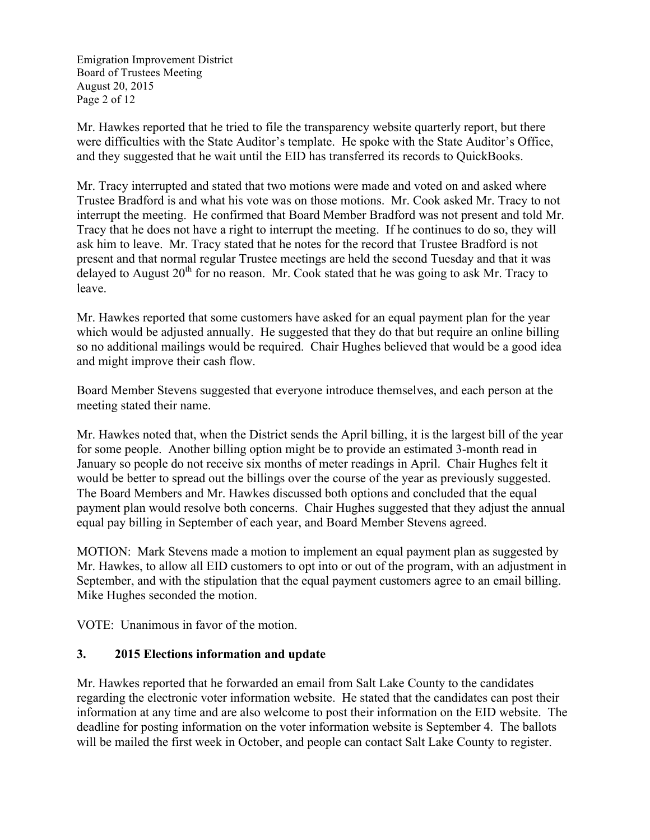Emigration Improvement District Board of Trustees Meeting August 20, 2015 Page 2 of 12

Mr. Hawkes reported that he tried to file the transparency website quarterly report, but there were difficulties with the State Auditor's template. He spoke with the State Auditor's Office, and they suggested that he wait until the EID has transferred its records to QuickBooks.

Mr. Tracy interrupted and stated that two motions were made and voted on and asked where Trustee Bradford is and what his vote was on those motions. Mr. Cook asked Mr. Tracy to not interrupt the meeting. He confirmed that Board Member Bradford was not present and told Mr. Tracy that he does not have a right to interrupt the meeting. If he continues to do so, they will ask him to leave. Mr. Tracy stated that he notes for the record that Trustee Bradford is not present and that normal regular Trustee meetings are held the second Tuesday and that it was delayed to August  $20<sup>th</sup>$  for no reason. Mr. Cook stated that he was going to ask Mr. Tracy to leave.

Mr. Hawkes reported that some customers have asked for an equal payment plan for the year which would be adjusted annually. He suggested that they do that but require an online billing so no additional mailings would be required. Chair Hughes believed that would be a good idea and might improve their cash flow.

Board Member Stevens suggested that everyone introduce themselves, and each person at the meeting stated their name.

Mr. Hawkes noted that, when the District sends the April billing, it is the largest bill of the year for some people. Another billing option might be to provide an estimated 3-month read in January so people do not receive six months of meter readings in April. Chair Hughes felt it would be better to spread out the billings over the course of the year as previously suggested. The Board Members and Mr. Hawkes discussed both options and concluded that the equal payment plan would resolve both concerns. Chair Hughes suggested that they adjust the annual equal pay billing in September of each year, and Board Member Stevens agreed.

MOTION: Mark Stevens made a motion to implement an equal payment plan as suggested by Mr. Hawkes, to allow all EID customers to opt into or out of the program, with an adjustment in September, and with the stipulation that the equal payment customers agree to an email billing. Mike Hughes seconded the motion.

VOTE: Unanimous in favor of the motion.

## **3. 2015 Elections information and update**

Mr. Hawkes reported that he forwarded an email from Salt Lake County to the candidates regarding the electronic voter information website. He stated that the candidates can post their information at any time and are also welcome to post their information on the EID website. The deadline for posting information on the voter information website is September 4. The ballots will be mailed the first week in October, and people can contact Salt Lake County to register.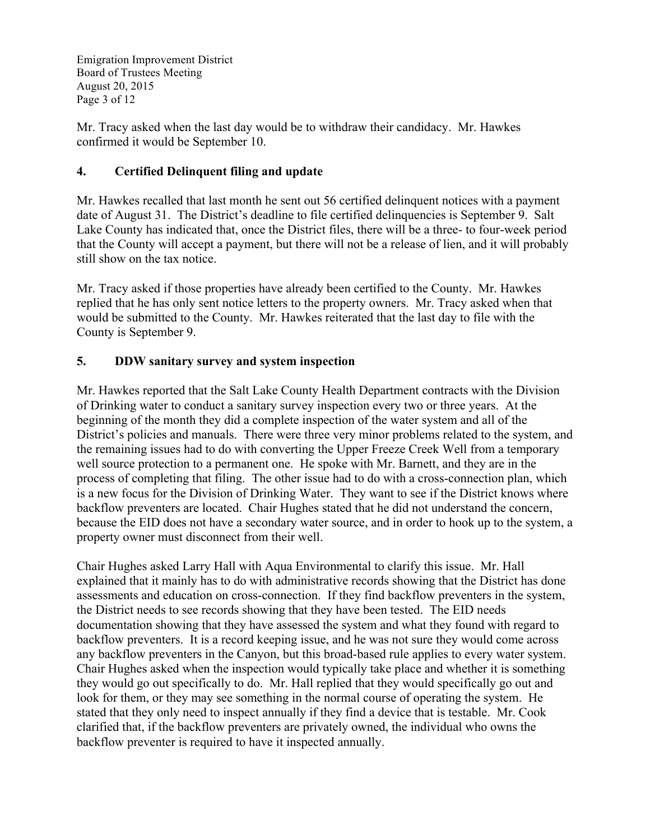Emigration Improvement District Board of Trustees Meeting August 20, 2015 Page 3 of 12

Mr. Tracy asked when the last day would be to withdraw their candidacy. Mr. Hawkes confirmed it would be September 10.

# **4. Certified Delinquent filing and update**

Mr. Hawkes recalled that last month he sent out 56 certified delinquent notices with a payment date of August 31. The District's deadline to file certified delinquencies is September 9. Salt Lake County has indicated that, once the District files, there will be a three- to four-week period that the County will accept a payment, but there will not be a release of lien, and it will probably still show on the tax notice.

Mr. Tracy asked if those properties have already been certified to the County. Mr. Hawkes replied that he has only sent notice letters to the property owners. Mr. Tracy asked when that would be submitted to the County. Mr. Hawkes reiterated that the last day to file with the County is September 9.

# **5. DDW sanitary survey and system inspection**

Mr. Hawkes reported that the Salt Lake County Health Department contracts with the Division of Drinking water to conduct a sanitary survey inspection every two or three years. At the beginning of the month they did a complete inspection of the water system and all of the District's policies and manuals. There were three very minor problems related to the system, and the remaining issues had to do with converting the Upper Freeze Creek Well from a temporary well source protection to a permanent one. He spoke with Mr. Barnett, and they are in the process of completing that filing. The other issue had to do with a cross-connection plan, which is a new focus for the Division of Drinking Water. They want to see if the District knows where backflow preventers are located. Chair Hughes stated that he did not understand the concern, because the EID does not have a secondary water source, and in order to hook up to the system, a property owner must disconnect from their well.

Chair Hughes asked Larry Hall with Aqua Environmental to clarify this issue. Mr. Hall explained that it mainly has to do with administrative records showing that the District has done assessments and education on cross-connection. If they find backflow preventers in the system, the District needs to see records showing that they have been tested. The EID needs documentation showing that they have assessed the system and what they found with regard to backflow preventers. It is a record keeping issue, and he was not sure they would come across any backflow preventers in the Canyon, but this broad-based rule applies to every water system. Chair Hughes asked when the inspection would typically take place and whether it is something they would go out specifically to do. Mr. Hall replied that they would specifically go out and look for them, or they may see something in the normal course of operating the system. He stated that they only need to inspect annually if they find a device that is testable. Mr. Cook clarified that, if the backflow preventers are privately owned, the individual who owns the backflow preventer is required to have it inspected annually.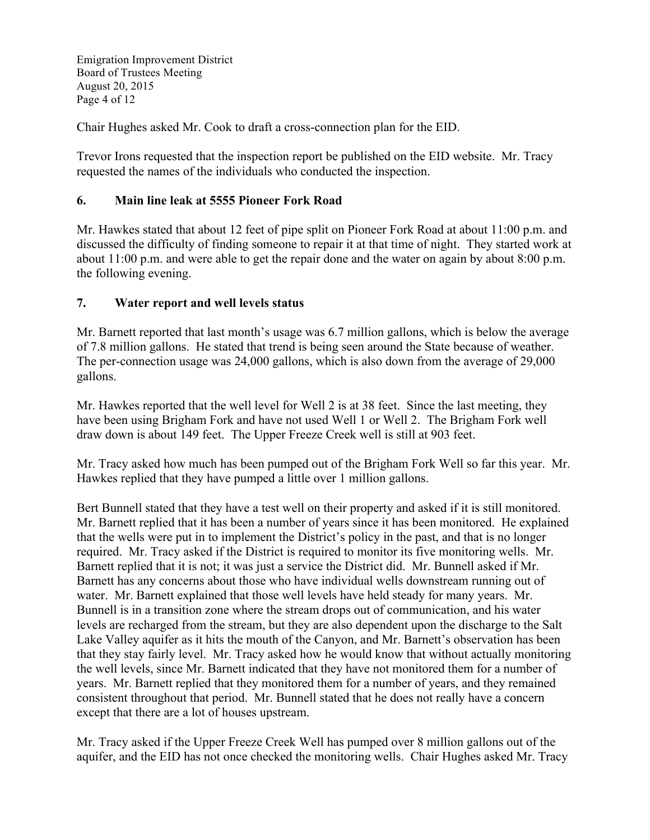Emigration Improvement District Board of Trustees Meeting August 20, 2015 Page 4 of 12

Chair Hughes asked Mr. Cook to draft a cross-connection plan for the EID.

Trevor Irons requested that the inspection report be published on the EID website. Mr. Tracy requested the names of the individuals who conducted the inspection.

## **6. Main line leak at 5555 Pioneer Fork Road**

Mr. Hawkes stated that about 12 feet of pipe split on Pioneer Fork Road at about 11:00 p.m. and discussed the difficulty of finding someone to repair it at that time of night. They started work at about 11:00 p.m. and were able to get the repair done and the water on again by about 8:00 p.m. the following evening.

#### **7. Water report and well levels status**

Mr. Barnett reported that last month's usage was 6.7 million gallons, which is below the average of 7.8 million gallons. He stated that trend is being seen around the State because of weather. The per-connection usage was 24,000 gallons, which is also down from the average of 29,000 gallons.

Mr. Hawkes reported that the well level for Well 2 is at 38 feet. Since the last meeting, they have been using Brigham Fork and have not used Well 1 or Well 2. The Brigham Fork well draw down is about 149 feet. The Upper Freeze Creek well is still at 903 feet.

Mr. Tracy asked how much has been pumped out of the Brigham Fork Well so far this year. Mr. Hawkes replied that they have pumped a little over 1 million gallons.

Bert Bunnell stated that they have a test well on their property and asked if it is still monitored. Mr. Barnett replied that it has been a number of years since it has been monitored. He explained that the wells were put in to implement the District's policy in the past, and that is no longer required. Mr. Tracy asked if the District is required to monitor its five monitoring wells. Mr. Barnett replied that it is not; it was just a service the District did. Mr. Bunnell asked if Mr. Barnett has any concerns about those who have individual wells downstream running out of water. Mr. Barnett explained that those well levels have held steady for many years. Mr. Bunnell is in a transition zone where the stream drops out of communication, and his water levels are recharged from the stream, but they are also dependent upon the discharge to the Salt Lake Valley aquifer as it hits the mouth of the Canyon, and Mr. Barnett's observation has been that they stay fairly level. Mr. Tracy asked how he would know that without actually monitoring the well levels, since Mr. Barnett indicated that they have not monitored them for a number of years. Mr. Barnett replied that they monitored them for a number of years, and they remained consistent throughout that period. Mr. Bunnell stated that he does not really have a concern except that there are a lot of houses upstream.

Mr. Tracy asked if the Upper Freeze Creek Well has pumped over 8 million gallons out of the aquifer, and the EID has not once checked the monitoring wells. Chair Hughes asked Mr. Tracy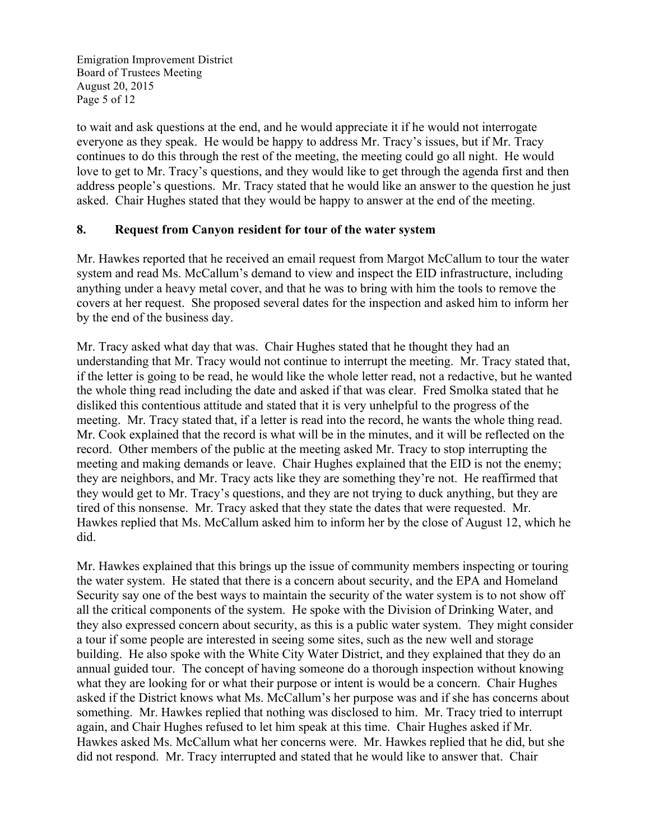Emigration Improvement District Board of Trustees Meeting August 20, 2015 Page 5 of 12

to wait and ask questions at the end, and he would appreciate it if he would not interrogate everyone as they speak. He would be happy to address Mr. Tracy's issues, but if Mr. Tracy continues to do this through the rest of the meeting, the meeting could go all night. He would love to get to Mr. Tracy's questions, and they would like to get through the agenda first and then address people's questions. Mr. Tracy stated that he would like an answer to the question he just asked. Chair Hughes stated that they would be happy to answer at the end of the meeting.

#### **8. Request from Canyon resident for tour of the water system**

Mr. Hawkes reported that he received an email request from Margot McCallum to tour the water system and read Ms. McCallum's demand to view and inspect the EID infrastructure, including anything under a heavy metal cover, and that he was to bring with him the tools to remove the covers at her request. She proposed several dates for the inspection and asked him to inform her by the end of the business day.

Mr. Tracy asked what day that was. Chair Hughes stated that he thought they had an understanding that Mr. Tracy would not continue to interrupt the meeting. Mr. Tracy stated that, if the letter is going to be read, he would like the whole letter read, not a redactive, but he wanted the whole thing read including the date and asked if that was clear. Fred Smolka stated that he disliked this contentious attitude and stated that it is very unhelpful to the progress of the meeting. Mr. Tracy stated that, if a letter is read into the record, he wants the whole thing read. Mr. Cook explained that the record is what will be in the minutes, and it will be reflected on the record. Other members of the public at the meeting asked Mr. Tracy to stop interrupting the meeting and making demands or leave. Chair Hughes explained that the EID is not the enemy; they are neighbors, and Mr. Tracy acts like they are something they're not. He reaffirmed that they would get to Mr. Tracy's questions, and they are not trying to duck anything, but they are tired of this nonsense. Mr. Tracy asked that they state the dates that were requested. Mr. Hawkes replied that Ms. McCallum asked him to inform her by the close of August 12, which he did.

Mr. Hawkes explained that this brings up the issue of community members inspecting or touring the water system. He stated that there is a concern about security, and the EPA and Homeland Security say one of the best ways to maintain the security of the water system is to not show off all the critical components of the system. He spoke with the Division of Drinking Water, and they also expressed concern about security, as this is a public water system. They might consider a tour if some people are interested in seeing some sites, such as the new well and storage building. He also spoke with the White City Water District, and they explained that they do an annual guided tour. The concept of having someone do a thorough inspection without knowing what they are looking for or what their purpose or intent is would be a concern. Chair Hughes asked if the District knows what Ms. McCallum's her purpose was and if she has concerns about something. Mr. Hawkes replied that nothing was disclosed to him. Mr. Tracy tried to interrupt again, and Chair Hughes refused to let him speak at this time. Chair Hughes asked if Mr. Hawkes asked Ms. McCallum what her concerns were. Mr. Hawkes replied that he did, but she did not respond. Mr. Tracy interrupted and stated that he would like to answer that. Chair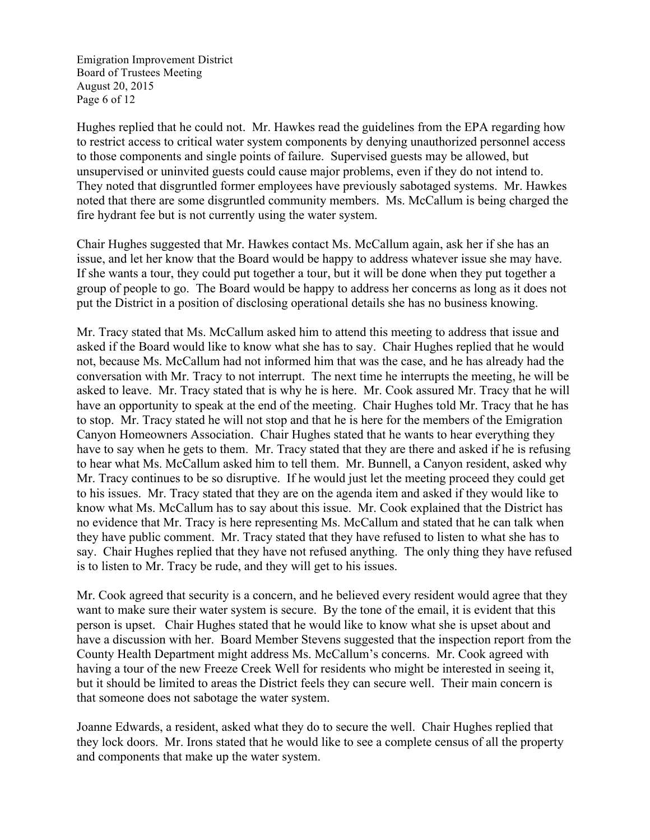Emigration Improvement District Board of Trustees Meeting August 20, 2015 Page 6 of 12

Hughes replied that he could not. Mr. Hawkes read the guidelines from the EPA regarding how to restrict access to critical water system components by denying unauthorized personnel access to those components and single points of failure. Supervised guests may be allowed, but unsupervised or uninvited guests could cause major problems, even if they do not intend to. They noted that disgruntled former employees have previously sabotaged systems. Mr. Hawkes noted that there are some disgruntled community members. Ms. McCallum is being charged the fire hydrant fee but is not currently using the water system.

Chair Hughes suggested that Mr. Hawkes contact Ms. McCallum again, ask her if she has an issue, and let her know that the Board would be happy to address whatever issue she may have. If she wants a tour, they could put together a tour, but it will be done when they put together a group of people to go. The Board would be happy to address her concerns as long as it does not put the District in a position of disclosing operational details she has no business knowing.

Mr. Tracy stated that Ms. McCallum asked him to attend this meeting to address that issue and asked if the Board would like to know what she has to say. Chair Hughes replied that he would not, because Ms. McCallum had not informed him that was the case, and he has already had the conversation with Mr. Tracy to not interrupt. The next time he interrupts the meeting, he will be asked to leave. Mr. Tracy stated that is why he is here. Mr. Cook assured Mr. Tracy that he will have an opportunity to speak at the end of the meeting. Chair Hughes told Mr. Tracy that he has to stop. Mr. Tracy stated he will not stop and that he is here for the members of the Emigration Canyon Homeowners Association. Chair Hughes stated that he wants to hear everything they have to say when he gets to them. Mr. Tracy stated that they are there and asked if he is refusing to hear what Ms. McCallum asked him to tell them. Mr. Bunnell, a Canyon resident, asked why Mr. Tracy continues to be so disruptive. If he would just let the meeting proceed they could get to his issues. Mr. Tracy stated that they are on the agenda item and asked if they would like to know what Ms. McCallum has to say about this issue. Mr. Cook explained that the District has no evidence that Mr. Tracy is here representing Ms. McCallum and stated that he can talk when they have public comment. Mr. Tracy stated that they have refused to listen to what she has to say. Chair Hughes replied that they have not refused anything. The only thing they have refused is to listen to Mr. Tracy be rude, and they will get to his issues.

Mr. Cook agreed that security is a concern, and he believed every resident would agree that they want to make sure their water system is secure. By the tone of the email, it is evident that this person is upset. Chair Hughes stated that he would like to know what she is upset about and have a discussion with her. Board Member Stevens suggested that the inspection report from the County Health Department might address Ms. McCallum's concerns. Mr. Cook agreed with having a tour of the new Freeze Creek Well for residents who might be interested in seeing it, but it should be limited to areas the District feels they can secure well. Their main concern is that someone does not sabotage the water system.

Joanne Edwards, a resident, asked what they do to secure the well. Chair Hughes replied that they lock doors. Mr. Irons stated that he would like to see a complete census of all the property and components that make up the water system.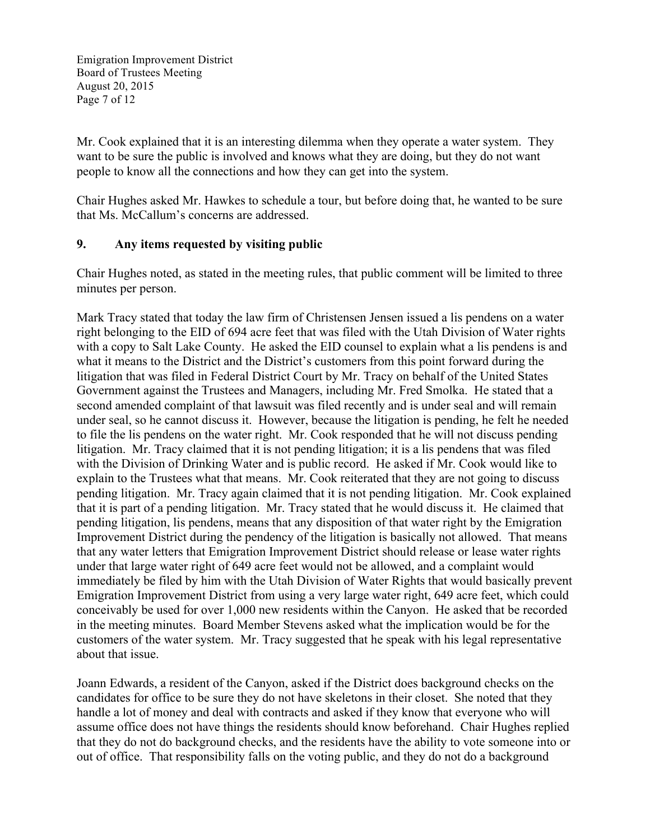Emigration Improvement District Board of Trustees Meeting August 20, 2015 Page 7 of 12

Mr. Cook explained that it is an interesting dilemma when they operate a water system. They want to be sure the public is involved and knows what they are doing, but they do not want people to know all the connections and how they can get into the system.

Chair Hughes asked Mr. Hawkes to schedule a tour, but before doing that, he wanted to be sure that Ms. McCallum's concerns are addressed.

## **9. Any items requested by visiting public**

Chair Hughes noted, as stated in the meeting rules, that public comment will be limited to three minutes per person.

Mark Tracy stated that today the law firm of Christensen Jensen issued a lis pendens on a water right belonging to the EID of 694 acre feet that was filed with the Utah Division of Water rights with a copy to Salt Lake County. He asked the EID counsel to explain what a lis pendens is and what it means to the District and the District's customers from this point forward during the litigation that was filed in Federal District Court by Mr. Tracy on behalf of the United States Government against the Trustees and Managers, including Mr. Fred Smolka. He stated that a second amended complaint of that lawsuit was filed recently and is under seal and will remain under seal, so he cannot discuss it. However, because the litigation is pending, he felt he needed to file the lis pendens on the water right. Mr. Cook responded that he will not discuss pending litigation. Mr. Tracy claimed that it is not pending litigation; it is a lis pendens that was filed with the Division of Drinking Water and is public record. He asked if Mr. Cook would like to explain to the Trustees what that means. Mr. Cook reiterated that they are not going to discuss pending litigation. Mr. Tracy again claimed that it is not pending litigation. Mr. Cook explained that it is part of a pending litigation. Mr. Tracy stated that he would discuss it. He claimed that pending litigation, lis pendens, means that any disposition of that water right by the Emigration Improvement District during the pendency of the litigation is basically not allowed. That means that any water letters that Emigration Improvement District should release or lease water rights under that large water right of 649 acre feet would not be allowed, and a complaint would immediately be filed by him with the Utah Division of Water Rights that would basically prevent Emigration Improvement District from using a very large water right, 649 acre feet, which could conceivably be used for over 1,000 new residents within the Canyon. He asked that be recorded in the meeting minutes. Board Member Stevens asked what the implication would be for the customers of the water system. Mr. Tracy suggested that he speak with his legal representative about that issue.

Joann Edwards, a resident of the Canyon, asked if the District does background checks on the candidates for office to be sure they do not have skeletons in their closet. She noted that they handle a lot of money and deal with contracts and asked if they know that everyone who will assume office does not have things the residents should know beforehand. Chair Hughes replied that they do not do background checks, and the residents have the ability to vote someone into or out of office. That responsibility falls on the voting public, and they do not do a background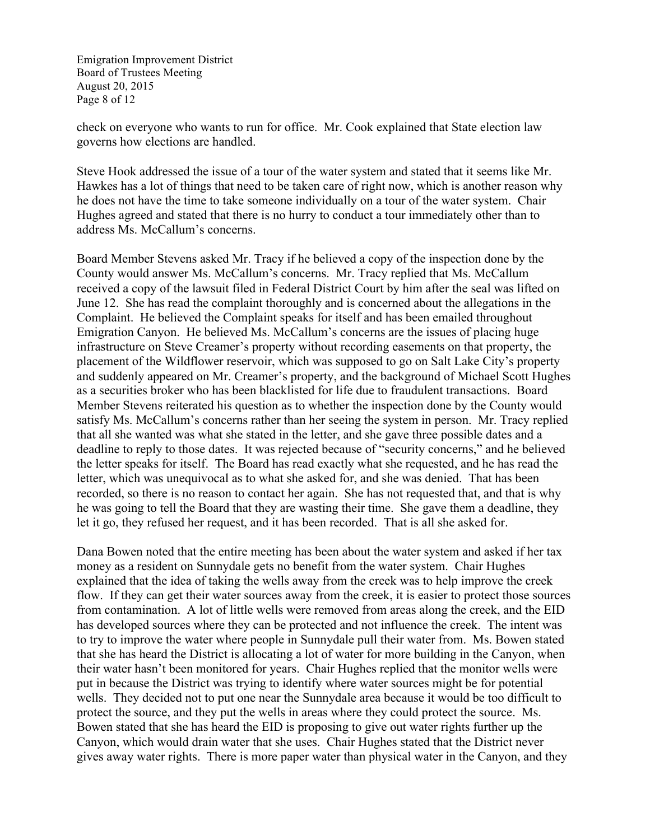Emigration Improvement District Board of Trustees Meeting August 20, 2015 Page 8 of 12

check on everyone who wants to run for office. Mr. Cook explained that State election law governs how elections are handled.

Steve Hook addressed the issue of a tour of the water system and stated that it seems like Mr. Hawkes has a lot of things that need to be taken care of right now, which is another reason why he does not have the time to take someone individually on a tour of the water system. Chair Hughes agreed and stated that there is no hurry to conduct a tour immediately other than to address Ms. McCallum's concerns.

Board Member Stevens asked Mr. Tracy if he believed a copy of the inspection done by the County would answer Ms. McCallum's concerns. Mr. Tracy replied that Ms. McCallum received a copy of the lawsuit filed in Federal District Court by him after the seal was lifted on June 12. She has read the complaint thoroughly and is concerned about the allegations in the Complaint. He believed the Complaint speaks for itself and has been emailed throughout Emigration Canyon. He believed Ms. McCallum's concerns are the issues of placing huge infrastructure on Steve Creamer's property without recording easements on that property, the placement of the Wildflower reservoir, which was supposed to go on Salt Lake City's property and suddenly appeared on Mr. Creamer's property, and the background of Michael Scott Hughes as a securities broker who has been blacklisted for life due to fraudulent transactions. Board Member Stevens reiterated his question as to whether the inspection done by the County would satisfy Ms. McCallum's concerns rather than her seeing the system in person. Mr. Tracy replied that all she wanted was what she stated in the letter, and she gave three possible dates and a deadline to reply to those dates. It was rejected because of "security concerns," and he believed the letter speaks for itself. The Board has read exactly what she requested, and he has read the letter, which was unequivocal as to what she asked for, and she was denied. That has been recorded, so there is no reason to contact her again. She has not requested that, and that is why he was going to tell the Board that they are wasting their time. She gave them a deadline, they let it go, they refused her request, and it has been recorded. That is all she asked for.

Dana Bowen noted that the entire meeting has been about the water system and asked if her tax money as a resident on Sunnydale gets no benefit from the water system. Chair Hughes explained that the idea of taking the wells away from the creek was to help improve the creek flow. If they can get their water sources away from the creek, it is easier to protect those sources from contamination. A lot of little wells were removed from areas along the creek, and the EID has developed sources where they can be protected and not influence the creek. The intent was to try to improve the water where people in Sunnydale pull their water from. Ms. Bowen stated that she has heard the District is allocating a lot of water for more building in the Canyon, when their water hasn't been monitored for years. Chair Hughes replied that the monitor wells were put in because the District was trying to identify where water sources might be for potential wells. They decided not to put one near the Sunnydale area because it would be too difficult to protect the source, and they put the wells in areas where they could protect the source. Ms. Bowen stated that she has heard the EID is proposing to give out water rights further up the Canyon, which would drain water that she uses. Chair Hughes stated that the District never gives away water rights. There is more paper water than physical water in the Canyon, and they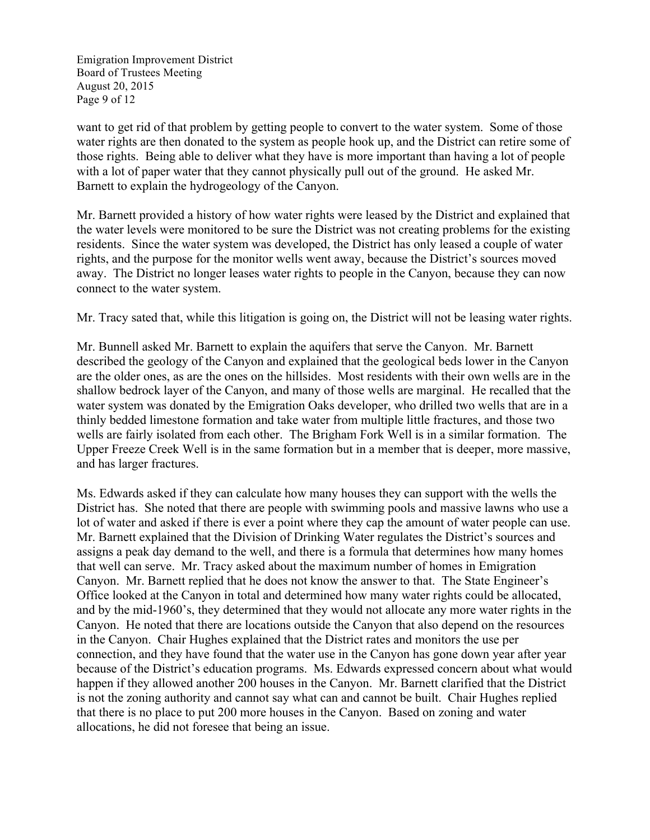Emigration Improvement District Board of Trustees Meeting August 20, 2015 Page 9 of 12

want to get rid of that problem by getting people to convert to the water system. Some of those water rights are then donated to the system as people hook up, and the District can retire some of those rights. Being able to deliver what they have is more important than having a lot of people with a lot of paper water that they cannot physically pull out of the ground. He asked Mr. Barnett to explain the hydrogeology of the Canyon.

Mr. Barnett provided a history of how water rights were leased by the District and explained that the water levels were monitored to be sure the District was not creating problems for the existing residents. Since the water system was developed, the District has only leased a couple of water rights, and the purpose for the monitor wells went away, because the District's sources moved away. The District no longer leases water rights to people in the Canyon, because they can now connect to the water system.

Mr. Tracy sated that, while this litigation is going on, the District will not be leasing water rights.

Mr. Bunnell asked Mr. Barnett to explain the aquifers that serve the Canyon. Mr. Barnett described the geology of the Canyon and explained that the geological beds lower in the Canyon are the older ones, as are the ones on the hillsides. Most residents with their own wells are in the shallow bedrock layer of the Canyon, and many of those wells are marginal. He recalled that the water system was donated by the Emigration Oaks developer, who drilled two wells that are in a thinly bedded limestone formation and take water from multiple little fractures, and those two wells are fairly isolated from each other. The Brigham Fork Well is in a similar formation. The Upper Freeze Creek Well is in the same formation but in a member that is deeper, more massive, and has larger fractures.

Ms. Edwards asked if they can calculate how many houses they can support with the wells the District has. She noted that there are people with swimming pools and massive lawns who use a lot of water and asked if there is ever a point where they cap the amount of water people can use. Mr. Barnett explained that the Division of Drinking Water regulates the District's sources and assigns a peak day demand to the well, and there is a formula that determines how many homes that well can serve. Mr. Tracy asked about the maximum number of homes in Emigration Canyon. Mr. Barnett replied that he does not know the answer to that. The State Engineer's Office looked at the Canyon in total and determined how many water rights could be allocated, and by the mid-1960's, they determined that they would not allocate any more water rights in the Canyon. He noted that there are locations outside the Canyon that also depend on the resources in the Canyon. Chair Hughes explained that the District rates and monitors the use per connection, and they have found that the water use in the Canyon has gone down year after year because of the District's education programs. Ms. Edwards expressed concern about what would happen if they allowed another 200 houses in the Canyon. Mr. Barnett clarified that the District is not the zoning authority and cannot say what can and cannot be built. Chair Hughes replied that there is no place to put 200 more houses in the Canyon. Based on zoning and water allocations, he did not foresee that being an issue.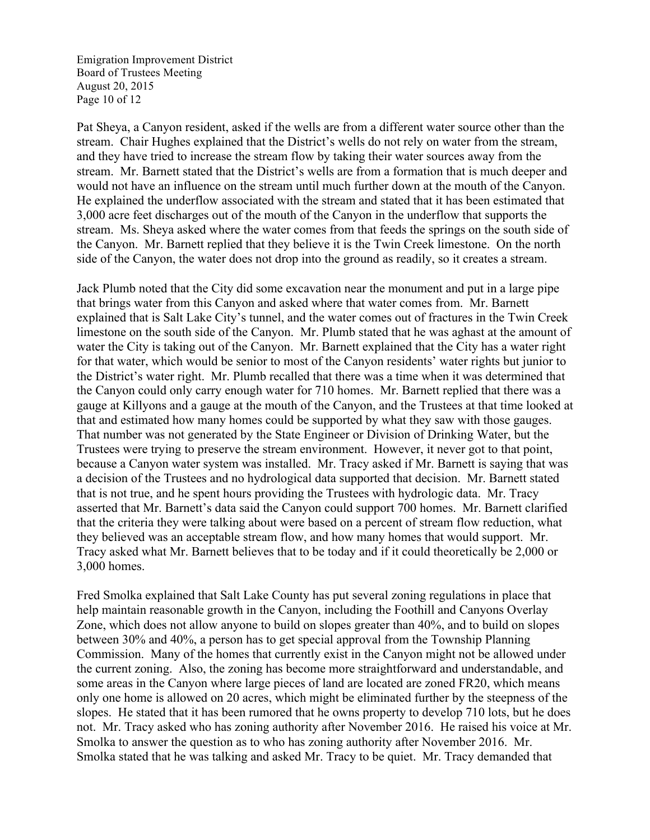Emigration Improvement District Board of Trustees Meeting August 20, 2015 Page 10 of 12

Pat Sheya, a Canyon resident, asked if the wells are from a different water source other than the stream. Chair Hughes explained that the District's wells do not rely on water from the stream, and they have tried to increase the stream flow by taking their water sources away from the stream. Mr. Barnett stated that the District's wells are from a formation that is much deeper and would not have an influence on the stream until much further down at the mouth of the Canyon. He explained the underflow associated with the stream and stated that it has been estimated that 3,000 acre feet discharges out of the mouth of the Canyon in the underflow that supports the stream. Ms. Sheya asked where the water comes from that feeds the springs on the south side of the Canyon. Mr. Barnett replied that they believe it is the Twin Creek limestone. On the north side of the Canyon, the water does not drop into the ground as readily, so it creates a stream.

Jack Plumb noted that the City did some excavation near the monument and put in a large pipe that brings water from this Canyon and asked where that water comes from. Mr. Barnett explained that is Salt Lake City's tunnel, and the water comes out of fractures in the Twin Creek limestone on the south side of the Canyon. Mr. Plumb stated that he was aghast at the amount of water the City is taking out of the Canyon. Mr. Barnett explained that the City has a water right for that water, which would be senior to most of the Canyon residents' water rights but junior to the District's water right. Mr. Plumb recalled that there was a time when it was determined that the Canyon could only carry enough water for 710 homes. Mr. Barnett replied that there was a gauge at Killyons and a gauge at the mouth of the Canyon, and the Trustees at that time looked at that and estimated how many homes could be supported by what they saw with those gauges. That number was not generated by the State Engineer or Division of Drinking Water, but the Trustees were trying to preserve the stream environment. However, it never got to that point, because a Canyon water system was installed. Mr. Tracy asked if Mr. Barnett is saying that was a decision of the Trustees and no hydrological data supported that decision. Mr. Barnett stated that is not true, and he spent hours providing the Trustees with hydrologic data. Mr. Tracy asserted that Mr. Barnett's data said the Canyon could support 700 homes. Mr. Barnett clarified that the criteria they were talking about were based on a percent of stream flow reduction, what they believed was an acceptable stream flow, and how many homes that would support. Mr. Tracy asked what Mr. Barnett believes that to be today and if it could theoretically be 2,000 or 3,000 homes.

Fred Smolka explained that Salt Lake County has put several zoning regulations in place that help maintain reasonable growth in the Canyon, including the Foothill and Canyons Overlay Zone, which does not allow anyone to build on slopes greater than 40%, and to build on slopes between 30% and 40%, a person has to get special approval from the Township Planning Commission. Many of the homes that currently exist in the Canyon might not be allowed under the current zoning. Also, the zoning has become more straightforward and understandable, and some areas in the Canyon where large pieces of land are located are zoned FR20, which means only one home is allowed on 20 acres, which might be eliminated further by the steepness of the slopes. He stated that it has been rumored that he owns property to develop 710 lots, but he does not. Mr. Tracy asked who has zoning authority after November 2016. He raised his voice at Mr. Smolka to answer the question as to who has zoning authority after November 2016. Mr. Smolka stated that he was talking and asked Mr. Tracy to be quiet. Mr. Tracy demanded that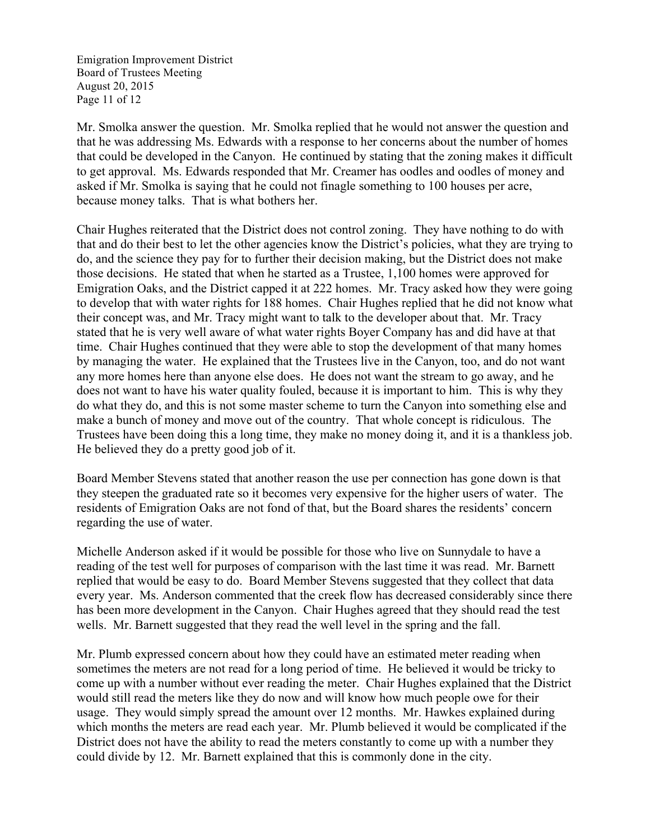Emigration Improvement District Board of Trustees Meeting August 20, 2015 Page 11 of 12

Mr. Smolka answer the question. Mr. Smolka replied that he would not answer the question and that he was addressing Ms. Edwards with a response to her concerns about the number of homes that could be developed in the Canyon. He continued by stating that the zoning makes it difficult to get approval. Ms. Edwards responded that Mr. Creamer has oodles and oodles of money and asked if Mr. Smolka is saying that he could not finagle something to 100 houses per acre, because money talks. That is what bothers her.

Chair Hughes reiterated that the District does not control zoning. They have nothing to do with that and do their best to let the other agencies know the District's policies, what they are trying to do, and the science they pay for to further their decision making, but the District does not make those decisions. He stated that when he started as a Trustee, 1,100 homes were approved for Emigration Oaks, and the District capped it at 222 homes. Mr. Tracy asked how they were going to develop that with water rights for 188 homes. Chair Hughes replied that he did not know what their concept was, and Mr. Tracy might want to talk to the developer about that. Mr. Tracy stated that he is very well aware of what water rights Boyer Company has and did have at that time. Chair Hughes continued that they were able to stop the development of that many homes by managing the water. He explained that the Trustees live in the Canyon, too, and do not want any more homes here than anyone else does. He does not want the stream to go away, and he does not want to have his water quality fouled, because it is important to him. This is why they do what they do, and this is not some master scheme to turn the Canyon into something else and make a bunch of money and move out of the country. That whole concept is ridiculous. The Trustees have been doing this a long time, they make no money doing it, and it is a thankless job. He believed they do a pretty good job of it.

Board Member Stevens stated that another reason the use per connection has gone down is that they steepen the graduated rate so it becomes very expensive for the higher users of water. The residents of Emigration Oaks are not fond of that, but the Board shares the residents' concern regarding the use of water.

Michelle Anderson asked if it would be possible for those who live on Sunnydale to have a reading of the test well for purposes of comparison with the last time it was read. Mr. Barnett replied that would be easy to do. Board Member Stevens suggested that they collect that data every year. Ms. Anderson commented that the creek flow has decreased considerably since there has been more development in the Canyon. Chair Hughes agreed that they should read the test wells. Mr. Barnett suggested that they read the well level in the spring and the fall.

Mr. Plumb expressed concern about how they could have an estimated meter reading when sometimes the meters are not read for a long period of time. He believed it would be tricky to come up with a number without ever reading the meter. Chair Hughes explained that the District would still read the meters like they do now and will know how much people owe for their usage. They would simply spread the amount over 12 months. Mr. Hawkes explained during which months the meters are read each year. Mr. Plumb believed it would be complicated if the District does not have the ability to read the meters constantly to come up with a number they could divide by 12. Mr. Barnett explained that this is commonly done in the city.